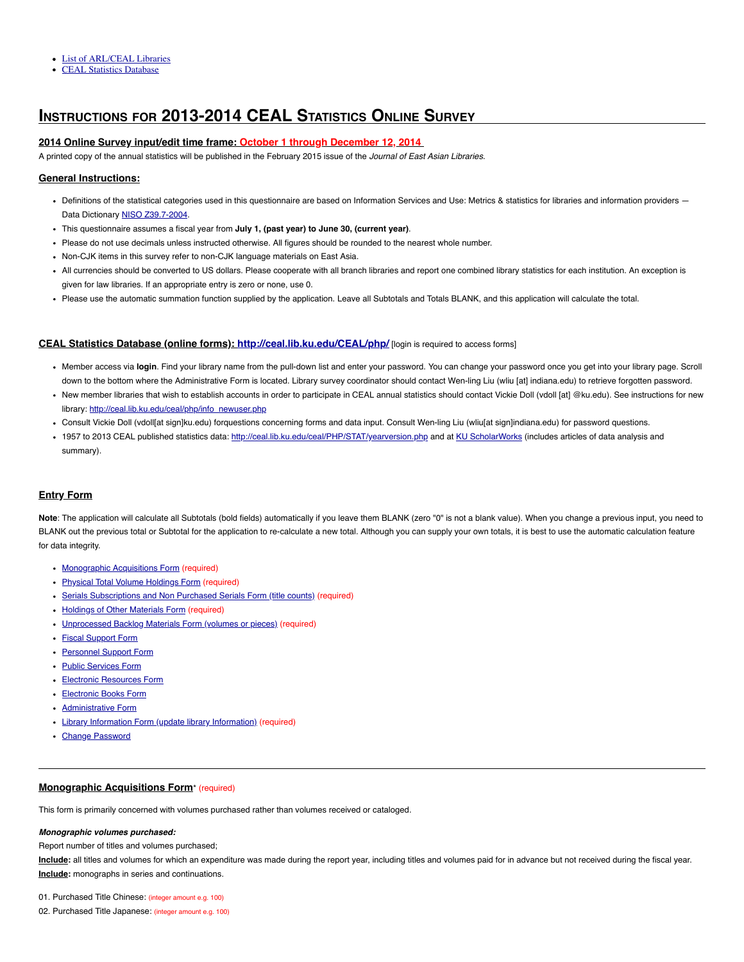- List of ARL/CEAL Libraries
- CEAL Statistics Database

# **INSTRUCTIONS FOR 2013-2014 CEAL STATISTICS ONLINE SURVEY**

# **2014 Online Survey input/edit time frame: October 1 through December 12, 2014**

A printed copy of the annual statistics will be published in the February 2015 issue of the Journal of East Asian Libraries.

# **General Instructions:**

- Definitions of the statistical categories used in this questionnaire are based on Information Services and Use: Metrics & statistics for libraries and information providers -Data Dictionary NISO Z39.7-2004.
- This questionnaire assumes a fiscal year from **July 1, (past year) to June 30, (current year)**.
- Please do not use decimals unless instructed otherwise. All figures should be rounded to the nearest whole number.
- Non-CJK items in this survey refer to non-CJK language materials on East Asia.
- All currencies should be converted to US dollars. Please cooperate with all branch libraries and report one combined library statistics for each institution. An exception is given for law libraries. If an appropriate entry is zero or none, use 0.
- Please use the automatic summation function supplied by the application. Leave all Subtotals and Totals BLANK, and this application will calculate the total.

# **CEAL Statistics Database (online forms): http://ceal.lib.ku.edu/CEAL/php/** [login is required to access forms]

- Member access via **login**. Find your library name from the pull-down list and enter your password. You can change your password once you get into your library page. Scroll down to the bottom where the Administrative Form is located. Library survey coordinator should contact Wen-ling Liu (wliu [at] indiana.edu) to retrieve forgotten password.
- New member libraries that wish to establish accounts in order to participate in CEAL annual statistics should contact Vickie Doll (vdoll [at] @ku.edu). See instructions for new library: http://ceal.lib.ku.edu/ceal/php/info\_newuser.php
- Consult Vickie Doll (vdoll[at sign]ku.edu) forquestions concerning forms and data input. Consult Wen-ling Liu (wliu[at sign]indiana.edu) for password questions.
- 1957 to 2013 CEAL published statistics data: http://ceal.lib.ku.edu/ceal/PHP/STAT/yearversion.php and at KU ScholarWorks (includes articles of data analysis and summary).

# **Entry Form**

**Note**: The application will calculate all Subtotals (bold fields) automatically if you leave them BLANK (zero "0" is not a blank value). When you change a previous input, you need to BLANK out the previous total or Subtotal for the application to re-calculate a new total. Although you can supply your own totals, it is best to use the automatic calculation feature for data integrity.

- Monographic Acquisitions Form (required)
- Physical Total Volume Holdings Form (required)
- Serials Subscriptions and Non Purchased Serials Form (title counts) (required)
- Holdings of Other Materials Form (required)
- Unprocessed Backlog Materials Form (volumes or pieces) (required)
- Fiscal Support Form
- Personnel Support Form
- Public Services Form
- Electronic Resources Form
- Electronic Books Form
- Administrative Form
- Library Information Form (update library Information) (required)
- Change Password

# **Monographic Acquisitions Form**\* (required)

This form is primarily concerned with volumes purchased rather than volumes received or cataloged.

#### **Monographic volumes purchased:**

Report number of titles and volumes purchased;

**Include:** all titles and volumes for which an expenditure was made during the report year, including titles and volumes paid for in advance but not received during the fiscal year. **Include:** monographs in series and continuations.

01. Purchased Title Chinese: (integer amount e.g. 100)

02. Purchased Title Japanese: (integer amount e.g. 100)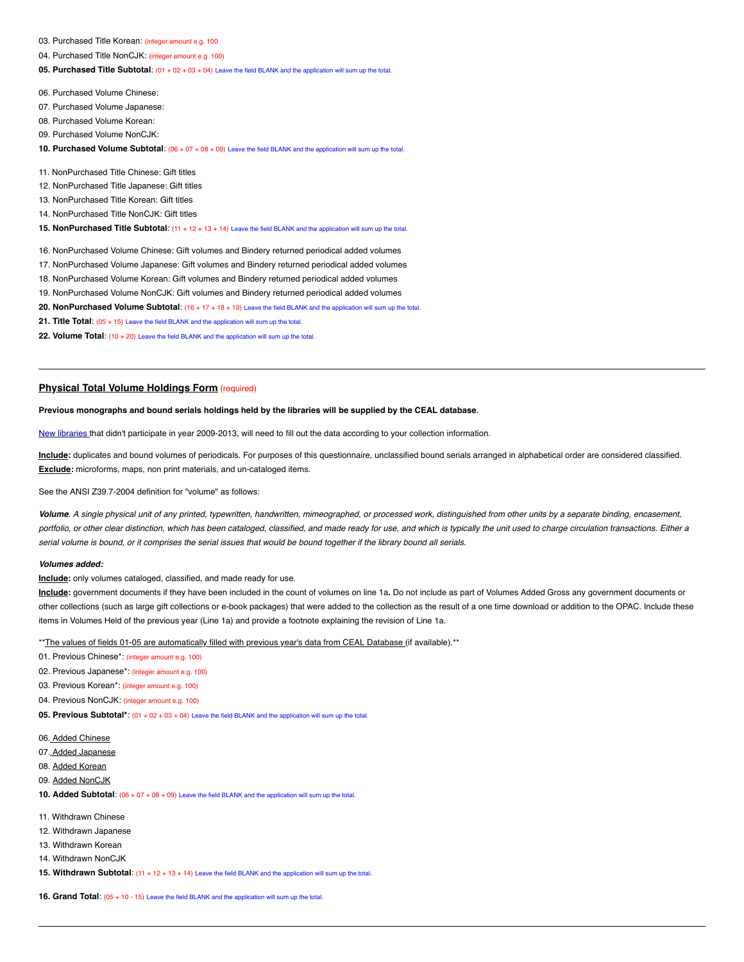- 03. Purchased Title Korean: (integer amount e.g. 100
- 04. Purchased Title NonCJK: (integer amount e.g. 100)

**05. Purchased Title Subtotal**: (01 + 02 + 03 + 04) Leave the field BLANK and the application will sum up the total.

06. Purchased Volume Chinese:

- 07. Purchased Volume Japanese:
- 08. Purchased Volume Korean:
- 09. Purchased Volume NonCJK:
- **10. Purchased Volume Subtotal**: (06 + 07 + 08 + 09) Leave the field BLANK and the application will sum up the total.

11. NonPurchased Title Chinese: Gift titles

- 12. NonPurchased Title Japanese: Gift titles
- 13. NonPurchased Title Korean: Gift titles
- 14. NonPurchased Title NonCJK: Gift titles

**15. NonPurchased Title Subtotal**: (11 + 12 + 13 + 14) Leave the field BLANK and the application will sum up the total.

16. NonPurchased Volume Chinese: Gift volumes and Bindery returned periodical added volumes

- 17. NonPurchased Volume Japanese: Gift volumes and Bindery returned periodical added volumes
- 18. NonPurchased Volume Korean: Gift volumes and Bindery returned periodical added volumes
- 19. NonPurchased Volume NonCJK: Gift volumes and Bindery returned periodical added volumes

**20. NonPurchased Volume Subtotal**: (16 + 17 + 18 + 19) Leave the field BLANK and the application will sum up the total.

**21. Title Total**: (05 + 15) Leave the field BLANK and the application will sum up the total.

**22. Volume Total**: (10 + 20) Leave the field BLANK and the application will sum up the total.

# **Physical Total Volume Holdings Form** (required)

### Previous monographs and bound serials holdings held by the libraries will be supplied by the CEAL database.

New libraries that didn't participate in year 2009-2013, will need to fill out the data according to your collection information.

**Include:** duplicates and bound volumes of periodicals. For purposes of this questionnaire, unclassified bound serials arranged in alphabetical order are considered classified. **Exclude:** microforms, maps, non print materials, and un-cataloged items.

See the ANSI Z39.7-2004 definition for "volume" as follows:

**Volume**. A single physical unit of any printed, typewritten, handwritten, mimeographed, or processed work, distinguished from other units by a separate binding, encasement, portfolio, or other clear distinction, which has been cataloged, classified, and made ready for use, and which is typically the unit used to charge circulation transactions. Either a serial volume is bound, or it comprises the serial issues that would be bound together if the library bound all serials.

#### **Volumes added:**

**Include:** only volumes cataloged, classified, and made ready for use.

**Include:** government documents if they have been included in the count of volumes on line 1a**.** Do not include as part of Volumes Added Gross any government documents or other collections (such as large gift collections or e-book packages) that were added to the collection as the result of a one time download or addition to the OPAC. Include these items in Volumes Held of the previous year (Line 1a) and provide a footnote explaining the revision of Line 1a.

\*\* The values of fields 01-05 are automatically filled with previous year's data from CEAL Database (if available).\*\*

01. Previous Chinese\*: (integer amount e.g. 100)

02. Previous Japanese\*: (integer amount e.g. 100)

03. Previous Korean\*: (integer amount e.g. 100)

04. Previous NonCJK: (integer amount e.g. 100)

**05. Previous Subtotal\***: (01 + 02 + 03 + 04) Leave the field BLANK and the application will sum up the total.

- 06. Added Chinese
- 07. Added Japanese
- 08. Added Korean
- 09. Added NonCJK
- **10. Added Subtotal**: (06 + 07 + 08 + 09) Leave the field BLANK and the application will sum up the total.
- 11. Withdrawn Chinese
- 12. Withdrawn Japanese
- 13. Withdrawn Korean
- 14. Withdrawn NonCJK
- **15. Withdrawn Subtotal**: (11 + 12 + 13 + 14) Leave the field BLANK and the application will sum up the total.

**16. Grand Total**: (05 + 10 - 15) Leave the field BLANK and the application will sum up the total.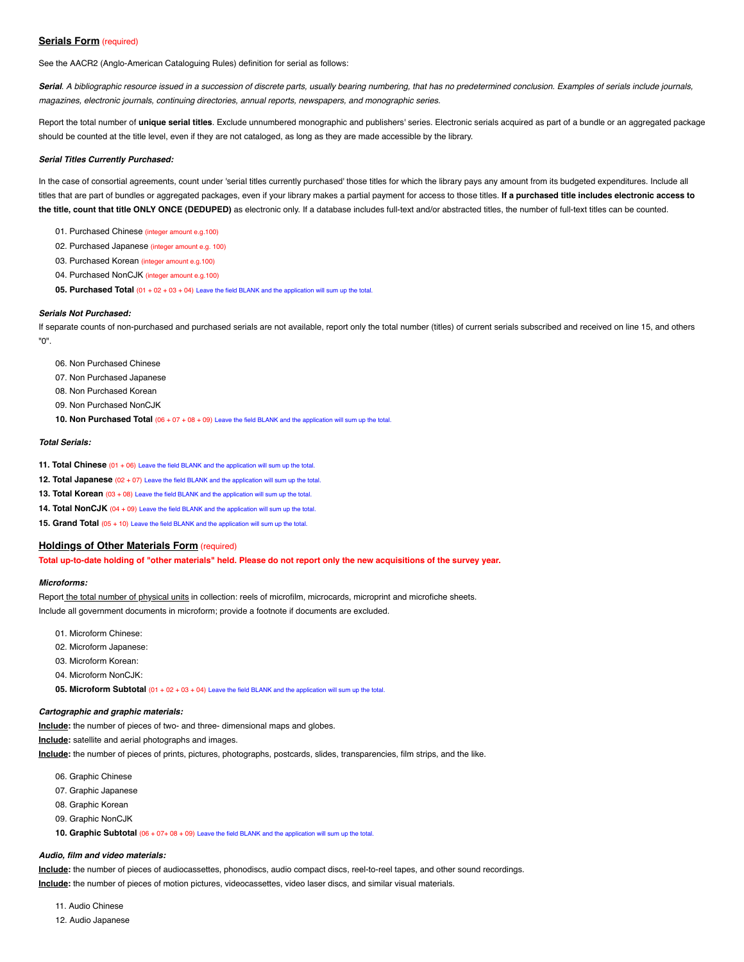# **Serials Form** (required)

See the AACR2 (Anglo-American Cataloguing Rules) definition for serial as follows:

Serial. A bibliographic resource issued in a succession of discrete parts, usually bearing numbering, that has no predetermined conclusion. Examples of serials include journals, magazines, electronic journals, continuing directories, annual reports, newspapers, and monographic series.

Report the total number of **unique serial titles**. Exclude unnumbered monographic and publishers' series. Electronic serials acquired as part of a bundle or an aggregated package should be counted at the title level, even if they are not cataloged, as long as they are made accessible by the library.

#### **Serial Titles Currently Purchased:**

In the case of consortial agreements, count under 'serial titles currently purchased' those titles for which the library pays any amount from its budgeted expenditures. Include all titles that are part of bundles or aggregated packages, even if your library makes a partial payment for access to those titles. If a purchased title includes electronic access to the title, count that title ONLY ONCE (DEDUPED) as electronic only. If a database includes full-text and/or abstracted titles, the number of full-text titles can be counted.

- 01. Purchased Chinese (integer amount e.g.100)
- 02. Purchased Japanese (integer amount e.g. 100)
- 03. Purchased Korean (integer amount e.g.100)
- 04. Purchased NonCJK (integer amount e.g.100)
- **05. Purchased Total** (01 + 02 + 03 + 04) Leave the field BLANK and the application will sum up the total.

#### **Serials Not Purchased:**

If separate counts of non-purchased and purchased serials are not available, report only the total number (titles) of current serials subscribed and received on line 15, and others "0".

- 06. Non Purchased Chinese
- 07. Non Purchased Japanese
- 08. Non Purchased Korean
- 09. Non Purchased NonCJK
- **10. Non Purchased Total** (06 + 07 + 08 + 09) Leave the field BLANK and the application will sum up the total.

### **Total Serials:**

- **11. Total Chinese** (01 + 06) Leave the field BLANK and the application will sum up the total.
- **12. Total Japanese** (02 + 07) Leave the field BLANK and the application will sum up the total.
- **13. Total Korean** (03 + 08) Leave the field BLANK and the application will sum up the total.
- **14. Total NonCJK** (04 + 09) Leave the field BLANK and the application will sum up the total.

**15. Grand Total** (05 + 10) Leave the field BLANK and the application will sum up the total.

### **Holdings of Other Materials Form** (required)

Total up-to-date holding of "other materials" held. Please do not report only the new acquisitions of the survey year.

#### **Microforms:**

Report the total number of physical units in collection: reels of microfilm, microcards, microprint and microfiche sheets. Include all government documents in microform; provide a footnote if documents are excluded.

- 01. Microform Chinese:
- 02. Microform Japanese:
- 03. Microform Korean:
- 04. Microform NonCJK:
- **05. Microform Subtotal** (01 + 02 + 03 + 04) Leave the field BLANK and the application will sum up the total.

### **Cartographic and graphic materials:**

**Include:** the number of pieces of two- and three- dimensional maps and globes.

**Include:** satellite and aerial photographs and images.

**Include:** the number of pieces of prints, pictures, photographs, postcards, slides, transparencies, film strips, and the like.

- 06. Graphic Chinese
- 07. Graphic Japanese
- 08. Graphic Korean
- 09. Graphic NonCJK
- **10. Graphic Subtotal** (06 + 07+ 08 + 09) Leave the field BLANK and the application will sum up the total.

# **Audio, film and video materials:**

**Include:** the number of pieces of audiocassettes, phonodiscs, audio compact discs, reel-to-reel tapes, and other sound recordings. **Include:** the number of pieces of motion pictures, videocassettes, video laser discs, and similar visual materials.

11. Audio Chinese

12. Audio Japanese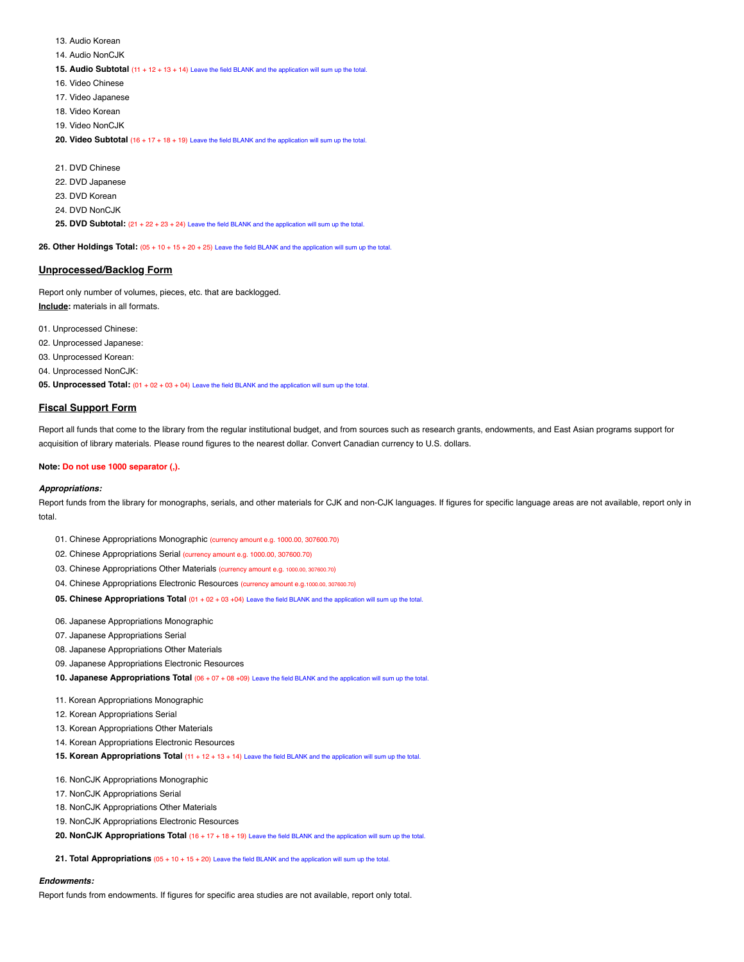13. Audio Korean

- 14. Audio NonCJK
- **15. Audio Subtotal** (11 + 12 + 13 + 14) Leave the field BLANK and the application will sum up the total.
- 16. Video Chinese
- 17. Video Japanese
- 18. Video Korean
- 19. Video NonCJK
- **20. Video Subtotal** (16 + 17 + 18 + 19) Leave the field BLANK and the application will sum up the total.

21. DVD Chinese 22. DVD Japanese 23. DVD Korean 24. DVD NonCJK **25. DVD Subtotal:** (21 + 22 + 23 + 24) Leave the field BLANK and the application will sum up the total.

**26. Other Holdings Total:** (05 + 10 + 15 + 20 + 25) Leave the field BLANK and the application will sum up the total.

# **Unprocessed/Backlog Form**

Report only number of volumes, pieces, etc. that are backlogged. **Include:** materials in all formats.

01. Unprocessed Chinese:

- 02. Unprocessed Japanese:
- 03. Unprocessed Korean:
- 04. Unprocessed NonCJK:

**05. Unprocessed Total:** (01 + 02 + 03 + 04) Leave the field BLANK and the application will sum up the total.

# **Fiscal Support Form**

Report all funds that come to the library from the regular institutional budget, and from sources such as research grants, endowments, and East Asian programs support for acquisition of library materials. Please round figures to the nearest dollar. Convert Canadian currency to U.S. dollars.

# **Note: Do not use 1000 separator (,).**

# **Appropriations:**

Report funds from the library for monographs, serials, and other materials for CJK and non-CJK languages. If figures for specific language areas are not available, report only in total.

- 01. Chinese Appropriations Monographic (currency amount e.g. 1000.00, 307600.70)
- 02. Chinese Appropriations Serial (currency amount e.g. 1000.00, 307600.70)
- 03. Chinese Appropriations Other Materials (currency amount e.g. 1000.00, 307600.70)
- 04. Chinese Appropriations Electronic Resources (currency amount e.g.1000.00, 307600.70)
- **05. Chinese Appropriations Total** (01 + 02 + 03 +04) Leave the field BLANK and the application will sum up the total.
- 06. Japanese Appropriations Monographic
- 07. Japanese Appropriations Serial
- 08. Japanese Appropriations Other Materials
- 09. Japanese Appropriations Electronic Resources
- **10. Japanese Appropriations Total** (06 + 07 + 08 +09) Leave the field BLANK and the application will sum up the total.
- 11. Korean Appropriations Monographic
- 12. Korean Appropriations Serial
- 13. Korean Appropriations Other Materials
- 14. Korean Appropriations Electronic Resources
- **15. Korean Appropriations Total** (11 + 12 + 13 + 14) Leave the field BLANK and the application will sum up the total.
- 16. NonCJK Appropriations Monographic
- 17. NonCJK Appropriations Serial
- 18. NonCJK Appropriations Other Materials
- 19. NonCJK Appropriations Electronic Resources
- **20. NonCJK Appropriations Total** (16 + 17 + 18 + 19) Leave the field BLANK and the application will sum up the total.
- **21. Total Appropriations** (05 + 10 + 15 + 20) Leave the field BLANK and the application will sum up the total.

#### **Endowments:**

Report funds from endowments. If figures for specific area studies are not available, report only total.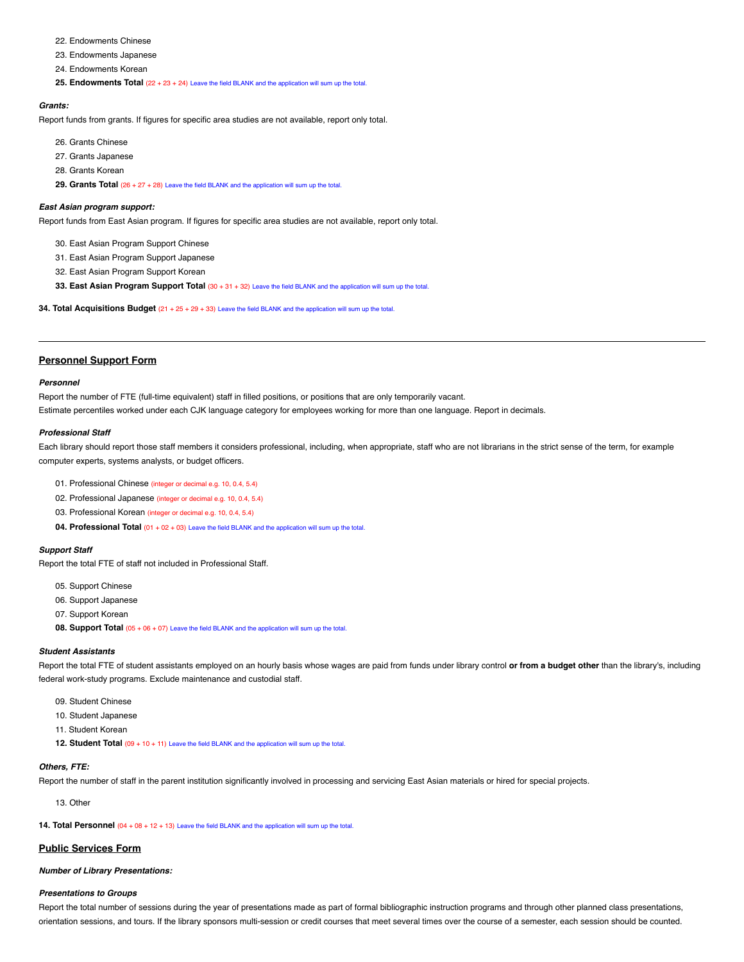- 22. Endowments Chinese
- 23. Endowments Japanese
- 24. Endowments Korean
- **25. Endowments Total** (22 + 23 + 24) Leave the field BLANK and the application will sum up the total.

# **Grants:**

Report funds from grants. If figures for specific area studies are not available, report only total.

- 26. Grants Chinese
- 27. Grants Japanese
- 28. Grants Korean

**29. Grants Total** (26 + 27 + 28) Leave the field BLANK and the application will sum up the total.

#### **East Asian program support:**

Report funds from East Asian program. If figures for specific area studies are not available, report only total.

- 30. East Asian Program Support Chinese
- 31. East Asian Program Support Japanese
- 32. East Asian Program Support Korean
- **33. East Asian Program Support Total** (30 + 31 + 32) Leave the field BLANK and the application will sum up the total.

**34. Total Acquisitions Budget** (21 + 25 + 29 + 33) Leave the field BLANK and the application will sum up the total.

# **Personnel Support Form**

### **Personnel**

Report the number of FTE (full-time equivalent) staff in filled positions, or positions that are only temporarily vacant.

Estimate percentiles worked under each CJK language category for employees working for more than one language. Report in decimals.

# **Professional Staff**

Each library should report those staff members it considers professional, including, when appropriate, staff who are not librarians in the strict sense of the term, for example computer experts, systems analysts, or budget officers.

- 01. Professional Chinese (integer or decimal e.g. 10, 0.4, 5.4)
- 02. Professional Japanese (integer or decimal e.g. 10, 0.4, 5.4)
- 03. Professional Korean (integer or decimal e.g. 10, 0.4, 5.4)
- **04. Professional Total** (01 + 02 + 03) Leave the field BLANK and the application will sum up the total.

# **Support Staff**

Report the total FTE of staff not included in Professional Staff.

- 05. Support Chinese
- 06. Support Japanese
- 07. Support Korean
- **08. Support Total** (05 + 06 + 07) Leave the field BLANK and the application will sum up the total.

# **Student Assistants**

Report the total FTE of student assistants employed on an hourly basis whose wages are paid from funds under library control **or from a budget other** than the library's, including federal work-study programs. Exclude maintenance and custodial staff.

- 09. Student Chinese
- 10. Student Japanese
- 11. Student Korean
- **12. Student Total** (09 + 10 + 11) Leave the field BLANK and the application will sum up the total.

# **Others, FTE:**

Report the number of staff in the parent institution significantly involved in processing and servicing East Asian materials or hired for special projects.

13. Other

**14. Total Personnel** (04 + 08 + 12 + 13) Leave the field BLANK and the application will sum up the total.

# **Public Services Form**

# **Number of Library Presentations:**

# **Presentations to Groups**

Report the total number of sessions during the year of presentations made as part of formal bibliographic instruction programs and through other planned class presentations, orientation sessions, and tours. If the library sponsors multi-session or credit courses that meet several times over the course of a semester, each session should be counted.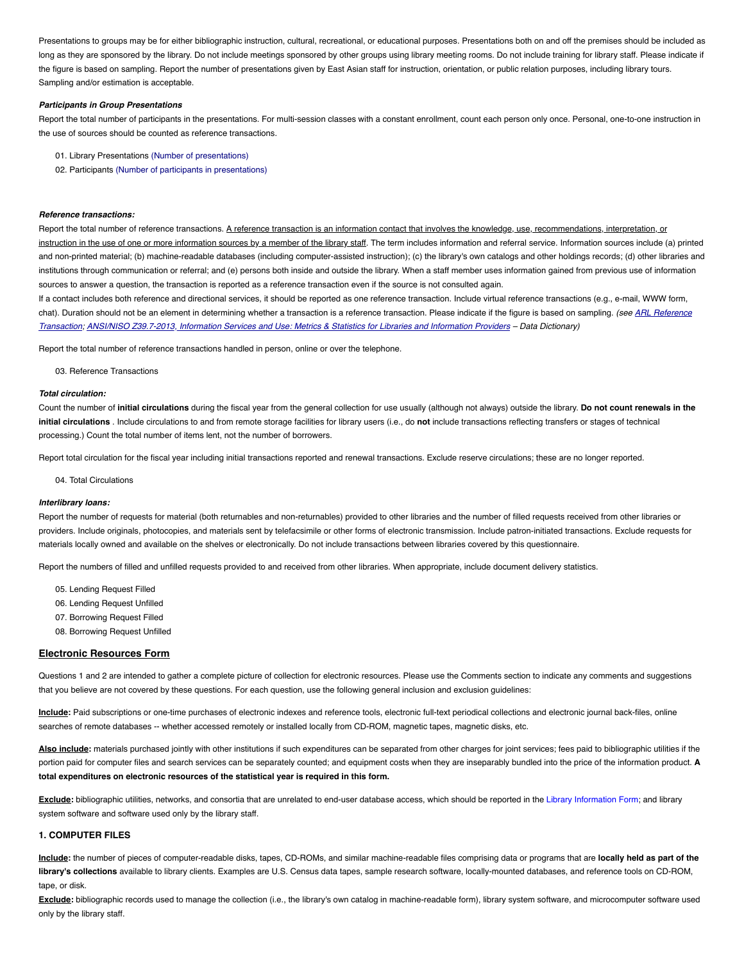Presentations to groups may be for either bibliographic instruction, cultural, recreational, or educational purposes. Presentations both on and off the premises should be included as long as they are sponsored by the library. Do not include meetings sponsored by other groups using library meeting rooms. Do not include training for library staff. Please indicate if the figure is based on sampling. Report the number of presentations given by East Asian staff for instruction, orientation, or public relation purposes, including library tours. Sampling and/or estimation is acceptable.

# **Participants in Group Presentations**

Report the total number of participants in the presentations. For multi-session classes with a constant enrollment, count each person only once. Personal, one-to-one instruction in the use of sources should be counted as reference transactions.

- 01. Library Presentations (Number of presentations)
- 02. Participants (Number of participants in presentations)

# **Reference transactions:**

Report the total number of reference transactions. A reference transaction is an information contact that involves the knowledge, use, recommendations, interpretation, or instruction in the use of one or more information sources by a member of the library staff. The term includes information and referral service. Information sources include (a) printed and non-printed material; (b) machine-readable databases (including computer-assisted instruction); (c) the library's own catalogs and other holdings records; (d) other libraries and institutions through communication or referral; and (e) persons both inside and outside the library. When a staff member uses information gained from previous use of information sources to answer a question, the transaction is reported as a reference transaction even if the source is not consulted again.

If a contact includes both reference and directional services, it should be reported as one reference transaction. Include virtual reference transactions (e.g., e-mail, WWW form, chat). Duration should not be an element in determining whether a transaction is a reference transaction. Please indicate if the figure is based on sampling. (see ARL Reference Transaction; ANSI/NISO Z39.7-2013, Information Services and Use: Metrics & Statistics for Libraries and Information Providers – Data Dictionary)

Report the total number of reference transactions handled in person, online or over the telephone.

03. Reference Transactions

# **Total circulation:**

Count the number of initial circulations during the fiscal year from the general collection for use usually (although not always) outside the library. Do not count renewals in the **initial circulations** . Include circulations to and from remote storage facilities for library users (i.e., do **not** include transactions reflecting transfers or stages of technical processing.) Count the total number of items lent, not the number of borrowers.

Report total circulation for the fiscal year including initial transactions reported and renewal transactions. Exclude reserve circulations; these are no longer reported.

04. Total Circulations

#### **Interlibrary loans:**

Report the number of requests for material (both returnables and non-returnables) provided to other libraries and the number of filled requests received from other libraries or providers. Include originals, photocopies, and materials sent by telefacsimile or other forms of electronic transmission. Include patron-initiated transactions. Exclude requests for materials locally owned and available on the shelves or electronically. Do not include transactions between libraries covered by this questionnaire.

Report the numbers of filled and unfilled requests provided to and received from other libraries. When appropriate, include document delivery statistics.

- 05. Lending Request Filled
- 06. Lending Request Unfilled
- 07. Borrowing Request Filled
- 08. Borrowing Request Unfilled

# **Electronic Resources Form**

Questions 1 and 2 are intended to gather a complete picture of collection for electronic resources. Please use the Comments section to indicate any comments and suggestions that you believe are not covered by these questions. For each question, use the following general inclusion and exclusion guidelines:

**Include:** Paid subscriptions or one-time purchases of electronic indexes and reference tools, electronic full-text periodical collections and electronic journal back-files, online searches of remote databases -- whether accessed remotely or installed locally from CD-ROM, magnetic tapes, magnetic disks, etc.

Also include: materials purchased jointly with other institutions if such expenditures can be separated from other charges for joint services; fees paid to bibliographic utilities if the portion paid for computer files and search services can be separately counted; and equipment costs when they are inseparably bundled into the price of the information product. **A total expenditures on electronic resources of the statistical year is required in this form.**

**Exclude:** bibliographic utilities, networks, and consortia that are unrelated to end-user database access, which should be reported in the Library Information Form; and library system software and software used only by the library staff.

# **1. COMPUTER FILES**

**Include:** the number of pieces of computer-readable disks, tapes, CD-ROMs, and similar machine-readable files comprising data or programs that are **locally held as part of the library's collections** available to library clients. Examples are U.S. Census data tapes, sample research software, locally-mounted databases, and reference tools on CD-ROM, tape, or disk.

Exclude: bibliographic records used to manage the collection (i.e., the library's own catalog in machine-readable form), library system software, and microcomputer software used only by the library staff.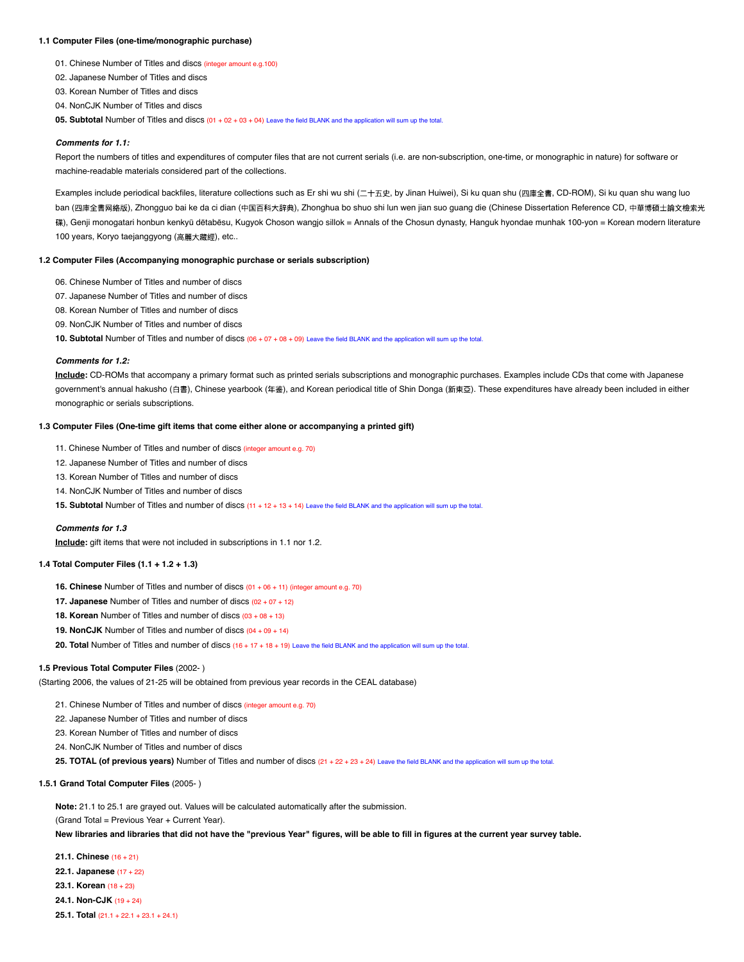#### **1.1 Computer Files (one-time/monographic purchase)**

- 01. Chinese Number of Titles and discs (integer amount e.g.100)
- 02. Japanese Number of Titles and discs
- 03. Korean Number of Titles and discs
- 04. NonCJK Number of Titles and discs

**05. Subtotal** Number of Titles and discs (01 + 02 + 03 + 04) Leave the field BLANK and the application will sum up the total.

# **Comments for 1.1:**

Report the numbers of titles and expenditures of computer files that are not current serials (i.e. are non-subscription, one-time, or monographic in nature) for software or machine-readable materials considered part of the collections.

Examples include periodical backfiles, literature collections such as Er shi wu shi (二十五史, by Jinan Huiwei), Si ku quan shu (四庫全書, CD-ROM), Si ku quan shu wang luo ban (四庫全書网絡版), Zhongguo bai ke da ci dian (中国百科大辞典), Zhonghua bo shuo shi lun wen jian suo guang die (Chinese Dissertation Reference CD, 中華博碩士論文檢索光 碟), Genji monogatari honbun kenkyū dētabēsu, Kugyok Choson wangjo sillok = Annals of the Chosun dynasty, Hanguk hyondae munhak 100-yon = Korean modern literature 100 years, Koryo taejanggyong (高麗大藏經), etc..

### **1.2 Computer Files (Accompanying monographic purchase or serials subscription)**

- 06. Chinese Number of Titles and number of discs
- 07. Japanese Number of Titles and number of discs
- 08. Korean Number of Titles and number of discs
- 09. NonCJK Number of Titles and number of discs

**10. Subtotal** Number of Titles and number of discs (06 + 07 + 08 + 09) Leave the field BLANK and the application will sum up the total.

#### **Comments for 1.2:**

**Include:** CD-ROMs that accompany a primary format such as printed serials subscriptions and monographic purchases. Examples include CDs that come with Japanese government's annual hakusho (白書), Chinese yearbook (年鉴), and Korean periodical title of Shin Donga (新東亞). These expenditures have already been included in either monographic or serials subscriptions.

# **1.3 Computer Files (One-time gift items that come either alone or accompanying a printed gift)**

- 11. Chinese Number of Titles and number of discs (integer amount e.g. 70)
- 12. Japanese Number of Titles and number of discs
- 13. Korean Number of Titles and number of discs
- 14. NonCJK Number of Titles and number of discs

15. Subtotal Number of Titles and number of discs (11 + 12 + 13 + 14) Leave the field BLANK and the application will sum up the total.

#### **Comments for 1.3**

**Include:** gift items that were not included in subscriptions in 1.1 nor 1.2.

# **1.4 Total Computer Files (1.1 + 1.2 + 1.3)**

- **16. Chinese** Number of Titles and number of discs (01 + 06 + 11) (integer amount e.g. 70)
- **17. Japanese** Number of Titles and number of discs (02 + 07 + 12)
- **18. Korean** Number of Titles and number of discs (03 + 08 + 13)
- **19. NonCJK** Number of Titles and number of discs (04 + 09 + 14)
- **20. Total** Number of Titles and number of discs (16 + 17 + 18 + 19) Leave the field BLANK and the application will sum up the total.

### **1.5 Previous Total Computer Files** (2002- )

(Starting 2006, the values of 21-25 will be obtained from previous year records in the CEAL database)

- 21. Chinese Number of Titles and number of discs (integer amount e.g. 70)
- 22. Japanese Number of Titles and number of discs
- 23. Korean Number of Titles and number of discs
- 24. NonCJK Number of Titles and number of discs
- **25. TOTAL (of previous years)** Number of Titles and number of discs (21 + 22 + 23 + 24) Leave the field BLANK and the application will sum up the total.

#### **1.5.1 Grand Total Computer Files** (2005- )

**Note:** 21.1 to 25.1 are grayed out. Values will be calculated automatically after the submission.

(Grand Total = Previous Year + Current Year).

New libraries and libraries that did not have the "previous Year" figures, will be able to fill in figures at the current year survey table.

- **21.1. Chinese** (16 + 21)
- **22.1. Japanese** (17 + 22)
- **23.1. Korean** (18 + 23)
- **24.1. Non-CJK** (19 + 24)
- **25.1. Total** (21.1 + 22.1 + 23.1 + 24.1)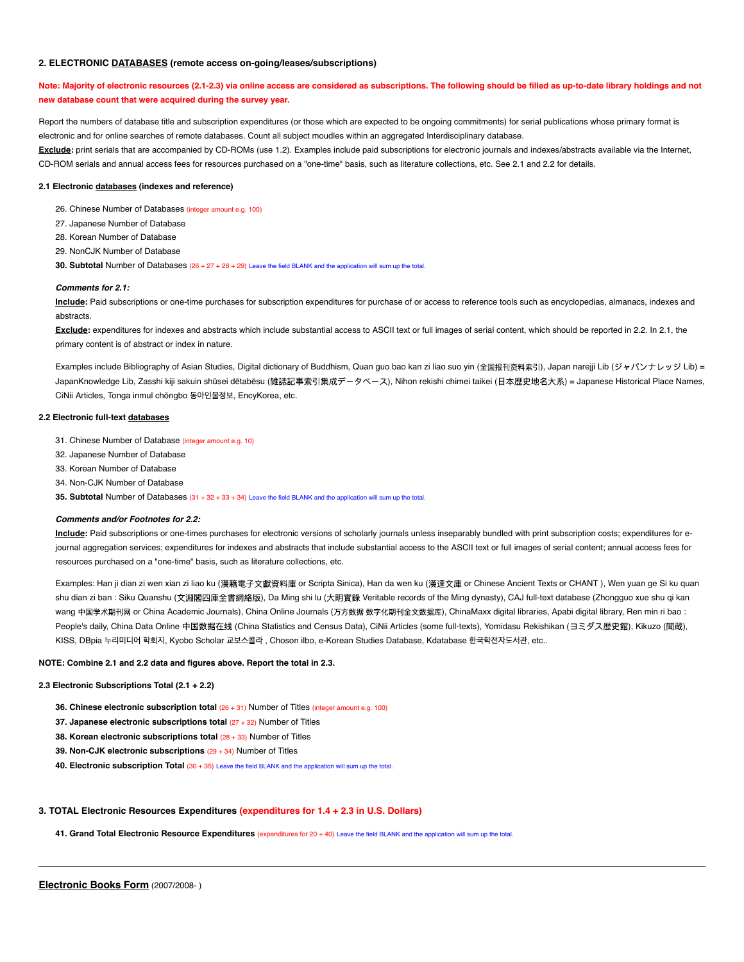### **2. ELECTRONIC DATABASES (remote access on-going/leases/subscriptions)**

# Note: Majority of electronic resources (2.1-2.3) via online access are considered as subscriptions. The following should be filled as up-to-date library holdings and not **new database count that were acquired during the survey year.**

Report the numbers of database title and subscription expenditures (or those which are expected to be ongoing commitments) for serial publications whose primary format is electronic and for online searches of remote databases. Count all subject moudles within an aggregated Interdisciplinary database.

**Exclude:** print serials that are accompanied by CD-ROMs (use 1.2). Examples include paid subscriptions for electronic journals and indexes/abstracts available via the Internet, CD-ROM serials and annual access fees for resources purchased on a "one-time" basis, such as literature collections, etc. See 2.1 and 2.2 for details.

# **2.1 Electronic databases (indexes and reference)**

- 26. Chinese Number of Databases (integer amount e.g. 100)
- 27. Japanese Number of Database
- 28. Korean Number of Database
- 29. NonCJK Number of Database

**30. Subtotal Number of Databases (26 + 27 + 28 + 29) Leave the field BLANK and the application will sum up the total** 

#### **Comments for 2.1:**

**Include:** Paid subscriptions or one-time purchases for subscription expenditures for purchase of or access to reference tools such as encyclopedias, almanacs, indexes and abstracts.

**Exclude:** expenditures for indexes and abstracts which include substantial access to ASCII text or full images of serial content, which should be reported in 2.2. In 2.1, the primary content is of abstract or index in nature.

Examples include Bibliography of Asian Studies, Digital dictionary of Buddhism, Quan guo bao kan zi liao suo yin (全国报刊资料索引), Japan narejji Lib (ジャパンナレッジ Lib) = JapanKnowledge Lib, Zasshi kiji sakuin shūsei dētabēsu (雑誌記事索引集成データベース), Nihon rekishi chimei taikei (日本歴史地名大系) = Japanese Historical Place Names, CiNii Articles, Tonga inmul chŏngbo 동아인물정보, EncyKorea, etc.

# **2.2 Electronic full-text databases**

31. Chinese Number of Database (integer amount e.g. 10)

- 32. Japanese Number of Database
- 33. Korean Number of Database
- 34. Non-CJK Number of Database

**35. Subtotal** Number of Databases (31 + 32 + 33 + 34) Leave the field BLANK and the application will sum up the total.

## **Comments and/or Footnotes for 2.2:**

**Include:** Paid subscriptions or one-times purchases for electronic versions of scholarly journals unless inseparably bundled with print subscription costs; expenditures for ejournal aggregation services; expenditures for indexes and abstracts that include substantial access to the ASCII text or full images of serial content; annual access fees for resources purchased on a "one-time" basis, such as literature collections, etc.

Examples: Han ji dian zi wen xian zi liao ku (漢籍電子文獻資料庫 or Scripta Sinica), Han da wen ku (漢達文庫 or Chinese Ancient Texts or CHANT ), Wen yuan ge Si ku quan shu dian zi ban : Siku Quanshu (文淵閣四庫全書網絡版), Da Ming shi lu (大明實錄 Veritable records of the Ming dynasty), CAJ full-text database (Zhongguo xue shu qi kan wang 中国学术期刊网 or China Academic Journals), China Online Journals (万方数据 数字化期刊全文数据库), ChinaMaxx digital libraries, Apabi digital library, Ren min ri bao : People's daily, China Data Online 中国数据在线 (China Statistics and Census Data), CiNii Articles (some full-texts), Yomidasu Rekishikan (ヨミダス歴史館), Kikuzo (聞蔵), KISS, DBpia 누리미디어 학회지, Kyobo Scholar 교보스콜라, Choson ilbo, e-Korean Studies Database, Kdatabase 한국학전자도서관, etc..

### **NOTE: Combine 2.1 and 2.2 data and figures above. Report the total in 2.3.**

#### **2.3 Electronic Subscriptions Total (2.1 + 2.2)**

- **36. Chinese electronic subscription total** (26 + 31) Number of Titles (integer amount e.g. 100)
- **37. Japanese electronic subscriptions total** (27 + 32) Number of Titles
- **38. Korean electronic subscriptions total** (28 + 33) Number of Titles
- **39. Non-CJK electronic subscriptions** (29 + 34) Number of Titles
- **40. Electronic subscription Total** (30 + 35) Leave the field BLANK and the application will sum up the total.

#### **3. TOTAL Electronic Resources Expenditures (expenditures for 1.4 + 2.3 in U.S. Dollars)**

**41. Grand Total Electronic Resource Expenditures** (expenditures for 20 + 40) Leave the field BLANK and the application will sum up the total.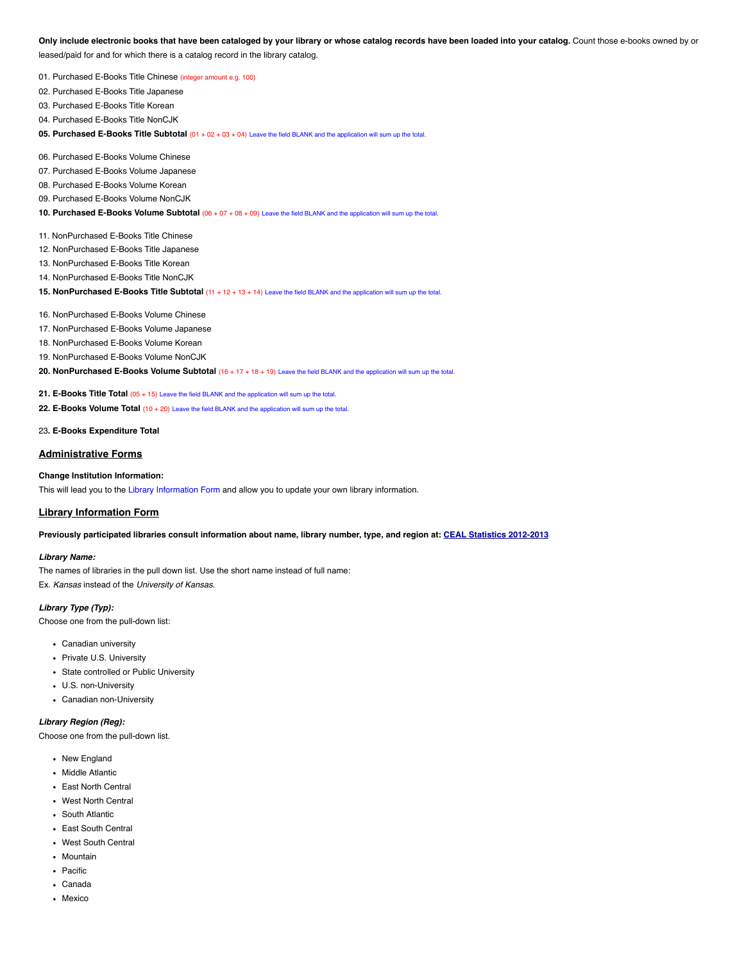Only include electronic books that have been cataloged by your library or whose catalog records have been loaded into your catalog. Count those e-books owned by or leased/paid for and for which there is a catalog record in the library catalog.

01. Purchased E-Books Title Chinese (integer amount e.g. 100)

02. Purchased E-Books Title Japanese

03. Purchased E-Books Title Korean

04. Purchased E-Books Title NonCJK

**05. Purchased E-Books Title Subtotal** (01 + 02 + 03 + 04) Leave the field BLANK and the application will sum up the total.

- 06. Purchased E-Books Volume Chinese
- 07. Purchased E-Books Volume Japanese
- 08. Purchased E-Books Volume Korean
- 09. Purchased E-Books Volume NonCJK

**10. Purchased E-Books Volume Subtotal** (06 + 07 + 08 + 09) Leave the field BLANK and the application will sum up the total.

- 11. NonPurchased E-Books Title Chinese
- 12. NonPurchased E-Books Title Japanese
- 13. NonPurchased E-Books Title Korean
- 14. NonPurchased E-Books Title NonCJK
- **15. NonPurchased E-Books Title Subtotal** (11 + 12 + 13 + 14) Leave the field BLANK and the application will sum up the total.
- 16. NonPurchased E-Books Volume Chinese
- 17. NonPurchased E-Books Volume Japanese
- 18. NonPurchased E-Books Volume Korean
- 19. NonPurchased E-Books Volume NonCJK
- **20. NonPurchased E-Books Volume Subtotal** (16 + 17 + 18 + 19) Leave the field BLANK and the application will sum up the total.
- **21. E-Books Title Total** (05 + 15) Leave the field BLANK and the application will sum up the total.
- **22. E-Books Volume Total** (10 + 20) Leave the field BLANK and the application will sum up the total.
- 23**. E-Books Expenditure Total**

# **Administrative Forms**

# **Change Institution Information:**

This will lead you to the Library Information Form and allow you to update your own library information.

# **Library Information Form**

Previously participated libraries consult information about name, library number, type, and region at: CEAL Statistics 2012-2013

### **Library Name:**

The names of libraries in the pull down list. Use the short name instead of full name: Ex. Kansas instead of the University of Kansas.

#### **Library Type (Typ):**

Choose one from the pull-down list:

- Canadian university
- Private U.S. University
- State controlled or Public University
- U.S. non-University
- Canadian non-University

# **Library Region (Reg):**

Choose one from the pull-down list.

- New England
- Middle Atlantic
- East North Central
- West North Central
- South Atlantic
- East South Central
- West South Central
- Mountain
- Pacific
- Canada
- Mexico